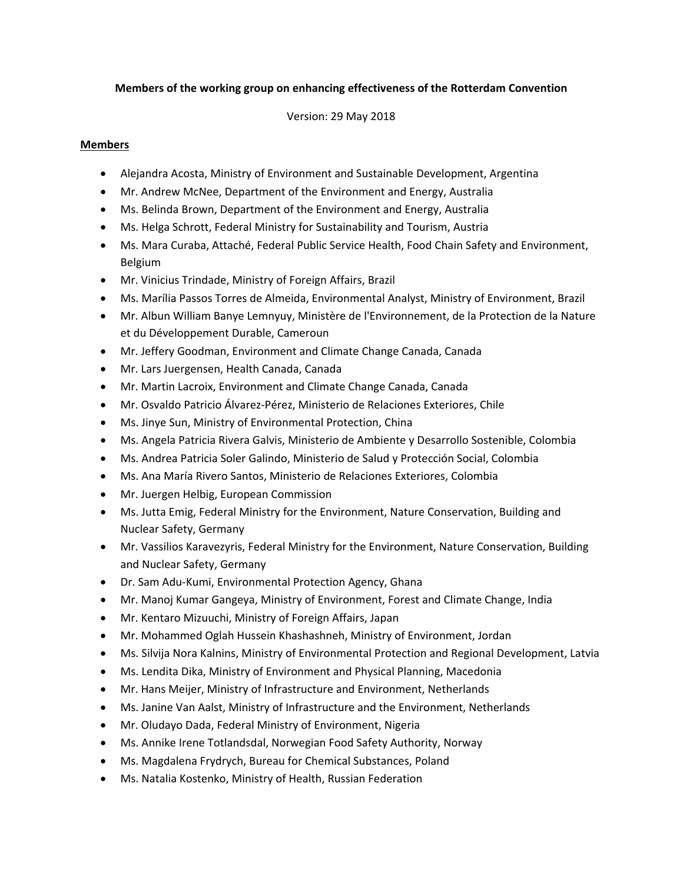## **Members of the working group on enhancing effectiveness of the Rotterdam Convention**

Version: 29 May 2018

## **Members**

- Alejandra Acosta, Ministry of Environment and Sustainable Development, Argentina
- Mr. Andrew McNee, Department of the Environment and Energy, Australia
- Ms. Belinda Brown, Department of the Environment and Energy, Australia
- Ms. Helga Schrott, Federal Ministry for Sustainability and Tourism, Austria
- Ms. Mara Curaba, Attaché, Federal Public Service Health, Food Chain Safety and Environment, Belgium
- Mr. Vinicius Trindade, Ministry of Foreign Affairs, Brazil
- Ms. Marília Passos Torres de Almeida, Environmental Analyst, Ministry of Environment, Brazil
- Mr. Albun William Banye Lemnyuy, Ministère de l'Environnement, de la Protection de la Nature et du Développement Durable, Cameroun
- Mr. Jeffery Goodman, Environment and Climate Change Canada, Canada
- Mr. Lars Juergensen, Health Canada, Canada
- Mr. Martin Lacroix, Environment and Climate Change Canada, Canada
- Mr. Osvaldo Patricio Álvarez‐Pérez, Ministerio de Relaciones Exteriores, Chile
- Ms. Jinye Sun, Ministry of Environmental Protection, China
- Ms. Angela Patricia Rivera Galvis, Ministerio de Ambiente y Desarrollo Sostenible, Colombia
- Ms. Andrea Patricia Soler Galindo, Ministerio de Salud y Protección Social, Colombia
- Ms. Ana María Rivero Santos, Ministerio de Relaciones Exteriores, Colombia
- Mr. Juergen Helbig, European Commission
- Ms. Jutta Emig, Federal Ministry for the Environment, Nature Conservation, Building and Nuclear Safety, Germany
- Mr. Vassilios Karavezyris, Federal Ministry for the Environment, Nature Conservation, Building and Nuclear Safety, Germany
- Dr. Sam Adu-Kumi, Environmental Protection Agency, Ghana
- Mr. Manoj Kumar Gangeya, Ministry of Environment, Forest and Climate Change, India
- Mr. Kentaro Mizuuchi, Ministry of Foreign Affairs, Japan
- Mr. Mohammed Oglah Hussein Khashashneh, Ministry of Environment, Jordan
- Ms. Silvija Nora Kalnins, Ministry of Environmental Protection and Regional Development, Latvia
- Ms. Lendita Dika, Ministry of Environment and Physical Planning, Macedonia
- Mr. Hans Meijer, Ministry of Infrastructure and Environment, Netherlands
- Ms. Janine Van Aalst, Ministry of Infrastructure and the Environment, Netherlands
- Mr. Oludayo Dada, Federal Ministry of Environment, Nigeria
- Ms. Annike Irene Totlandsdal, Norwegian Food Safety Authority, Norway
- Ms. Magdalena Frydrych, Bureau for Chemical Substances, Poland
- Ms. Natalia Kostenko, Ministry of Health, Russian Federation